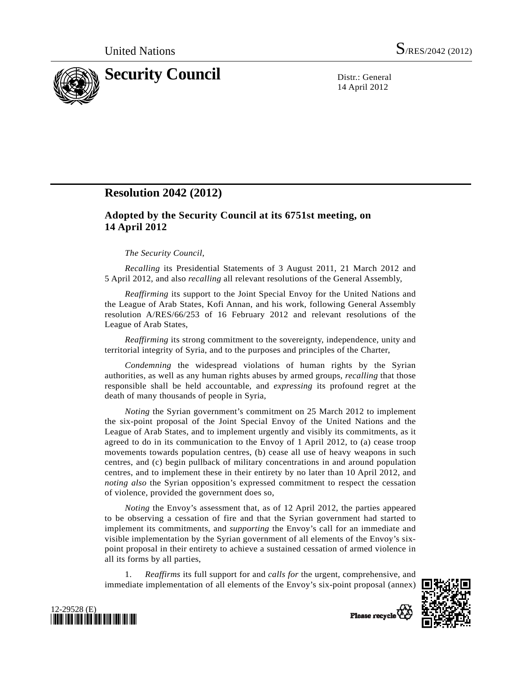

14 April 2012

# **Resolution 2042 (2012)**

## **Adopted by the Security Council at its 6751st meeting, on 14 April 2012**

### *The Security Council*,

*Recalling* its Presidential Statements of 3 August 2011, 21 March 2012 and 5 April 2012, and also *recalling* all relevant resolutions of the General Assembly,

*Reaffirming* its support to the Joint Special Envoy for the United Nations and the League of Arab States, Kofi Annan, and his work, following General Assembly resolution A/RES/66/253 of 16 February 2012 and relevant resolutions of the League of Arab States,

*Reaffirming* its strong commitment to the sovereignty, independence, unity and territorial integrity of Syria, and to the purposes and principles of the Charter,

*Condemning* the widespread violations of human rights by the Syrian authorities, as well as any human rights abuses by armed groups, *recalling* that those responsible shall be held accountable, and *expressing* its profound regret at the death of many thousands of people in Syria,

*Noting* the Syrian government's commitment on 25 March 2012 to implement the six-point proposal of the Joint Special Envoy of the United Nations and the League of Arab States, and to implement urgently and visibly its commitments, as it agreed to do in its communication to the Envoy of 1 April 2012, to (a) cease troop movements towards population centres, (b) cease all use of heavy weapons in such centres, and (c) begin pullback of military concentrations in and around population centres, and to implement these in their entirety by no later than 10 April 2012, and *noting also* the Syrian opposition's expressed commitment to respect the cessation of violence, provided the government does so,

*Noting* the Envoy's assessment that, as of 12 April 2012, the parties appeared to be observing a cessation of fire and that the Syrian government had started to implement its commitments, and *supporting* the Envoy's call for an immediate and visible implementation by the Syrian government of all elements of the Envoy's sixpoint proposal in their entirety to achieve a sustained cessation of armed violence in all its forms by all parties,

 1. *Reaffirms* its full support for and *calls for* the urgent, comprehensive, and immediate implementation of all elements of the Envoy's six-point proposal (annex)





Please recycle<sup>7</sup>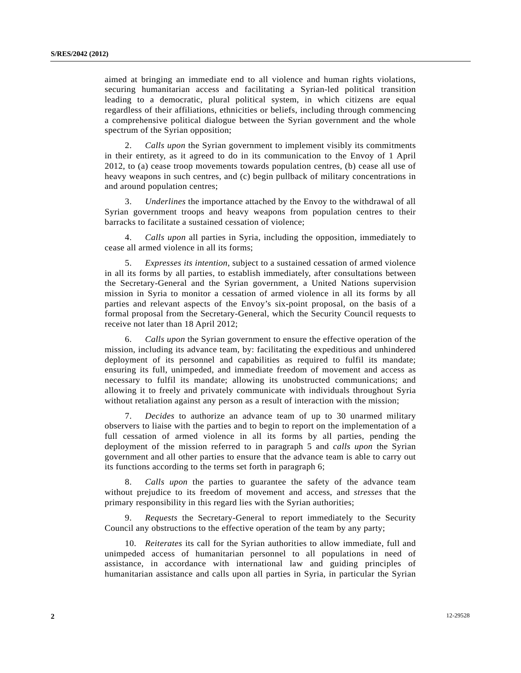aimed at bringing an immediate end to all violence and human rights violations, securing humanitarian access and facilitating a Syrian-led political transition leading to a democratic, plural political system, in which citizens are equal regardless of their affiliations, ethnicities or beliefs, including through commencing a comprehensive political dialogue between the Syrian government and the whole spectrum of the Syrian opposition;

 2. *Calls upon* the Syrian government to implement visibly its commitments in their entirety, as it agreed to do in its communication to the Envoy of 1 April 2012, to (a) cease troop movements towards population centres, (b) cease all use of heavy weapons in such centres, and (c) begin pullback of military concentrations in and around population centres;

 3. *Underlines* the importance attached by the Envoy to the withdrawal of all Syrian government troops and heavy weapons from population centres to their barracks to facilitate a sustained cessation of violence;

 4. *Calls upon* all parties in Syria, including the opposition, immediately to cease all armed violence in all its forms;

 5. *Expresses its intention*, subject to a sustained cessation of armed violence in all its forms by all parties, to establish immediately, after consultations between the Secretary-General and the Syrian government, a United Nations supervision mission in Syria to monitor a cessation of armed violence in all its forms by all parties and relevant aspects of the Envoy's six-point proposal, on the basis of a formal proposal from the Secretary-General, which the Security Council requests to receive not later than 18 April 2012;

 6. *Calls upon* the Syrian government to ensure the effective operation of the mission, including its advance team, by: facilitating the expeditious and unhindered deployment of its personnel and capabilities as required to fulfil its mandate; ensuring its full, unimpeded, and immediate freedom of movement and access as necessary to fulfil its mandate; allowing its unobstructed communications; and allowing it to freely and privately communicate with individuals throughout Syria without retaliation against any person as a result of interaction with the mission;

 7. *Decides* to authorize an advance team of up to 30 unarmed military observers to liaise with the parties and to begin to report on the implementation of a full cessation of armed violence in all its forms by all parties, pending the deployment of the mission referred to in paragraph 5 and *calls upon* the Syrian government and all other parties to ensure that the advance team is able to carry out its functions according to the terms set forth in paragraph 6;

 8. *Calls upon* the parties to guarantee the safety of the advance team without prejudice to its freedom of movement and access, and *stresses* that the primary responsibility in this regard lies with the Syrian authorities;

 9. *Requests* the Secretary-General to report immediately to the Security Council any obstructions to the effective operation of the team by any party;

 10. *Reiterates* its call for the Syrian authorities to allow immediate, full and unimpeded access of humanitarian personnel to all populations in need of assistance, in accordance with international law and guiding principles of humanitarian assistance and calls upon all parties in Syria, in particular the Syrian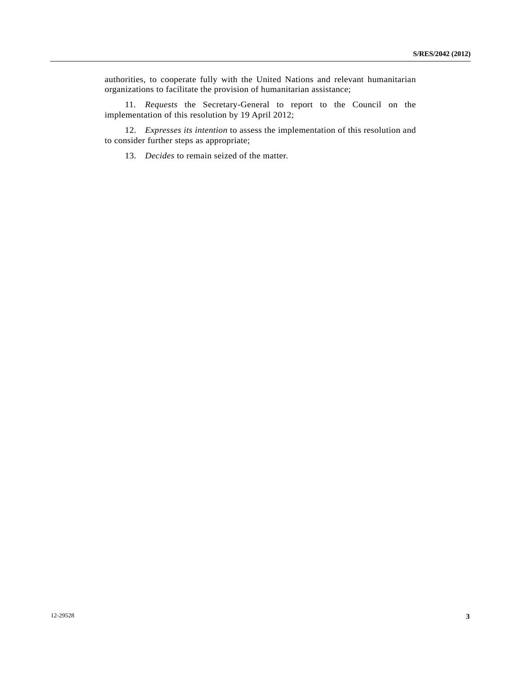authorities, to cooperate fully with the United Nations and relevant humanitarian organizations to facilitate the provision of humanitarian assistance;

 11. *Requests* the Secretary-General to report to the Council on the implementation of this resolution by 19 April 2012;

 12. *Expresses its intention* to assess the implementation of this resolution and to consider further steps as appropriate;

13. *Decides* to remain seized of the matter.